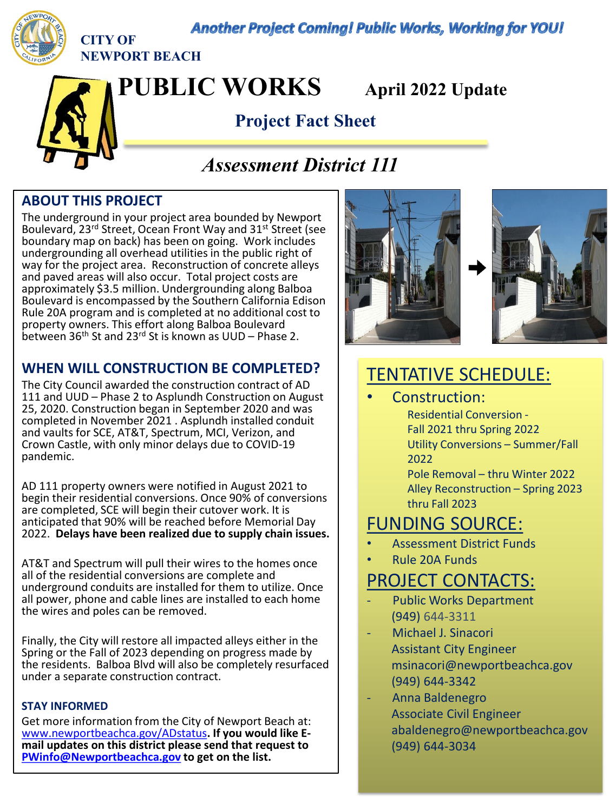**Another Project Coming! Public Works, Working for YOU!** 



**CITY OF NEWPORT BEACH**

**PUBLIC WORKS April 2022 Update**

## **Project Fact Sheet**

# *Assessment District 111*

### **ABOUT THIS PROJECT**

The underground in your project area bounded by Newport Boulevard, 23rd Street, Ocean Front Way and 31st Street (see boundary map on back) has been on going. Work includes undergrounding all overhead utilities in the public right of way for the project area. Reconstruction of concrete alleys and paved areas will also occur. Total project costs are approximately \$3.5 million. Undergrounding along Balboa Boulevard is encompassed by the Southern California Edison Rule 20A program and is completed at no additional cost to property owners. This effort along Balboa Boulevard between 36<sup>th</sup> St and 23<sup>rd</sup> St is known as UUD – Phase 2.

### **WHEN WILL CONSTRUCTION BE COMPLETED?**

The City Council awarded the construction contract of AD 111 and UUD – Phase 2 to Asplundh Construction on August 25, 2020. Construction began in September 2020 and was completed in November 2021 . Asplundh installed conduit and vaults for SCE, AT&T, Spectrum, MCI, Verizon, and Crown Castle, with only minor delays due to COVID-19 pandemic.

AD 111 property owners were notified in August 2021 to begin their residential conversions. Once 90% of conversions are completed, SCE will begin their cutover work. It is anticipated that 90% will be reached before Memorial Day 2022. **Delays have been realized due to supply chain issues.**

AT&T and Spectrum will pull their wires to the homes once all of the residential conversions are complete and underground conduits are installed for them to utilize. Once all power, phone and cable lines are installed to each home the wires and poles can be removed.

Finally, the City will restore all impacted alleys either in the Spring or the Fall of 2023 depending on progress made by the residents. Balboa Blvd will also be completely resurfaced under a separate construction contract.

#### **STAY INFORMED**

Get more information from the City of Newport Beach at: [www.newportbeachca.gov/ADstatus](http://www.newportbeachca.gov/ADstatus)**. If you would like E- mail updates on this district please send that request to [PWinfo@Newportbeachca.gov](mailto:PWinfo@Newportbeachca.gov) to get on the list.** 





# TENTATIVE SCHEDULE:

Construction: Residential Conversion -

Fall 2021 thru Spring 2022 Utility Conversions – Summer/Fall 2022

Pole Removal – thru Winter 2022 Alley Reconstruction – Spring 2023 thru Fall 2023

## FUNDING SOURCE:

- Assessment District Funds
- Rule 20A Funds

## PROJECT CONTACTS:

- Public Works Department (949) 644-3311
- Michael J. Sinacori Assistant City Engineer msinacori@newportbeachca.gov (949) 644-3342
- Anna Baldenegro Associate Civil Engineer abaldenegro@newportbeachca.gov (949) 644-3034